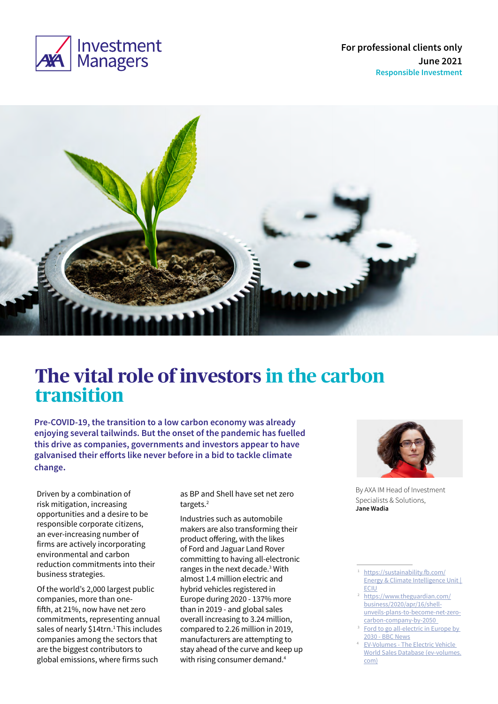

**For professional clients only June 2021 Responsible Investment**



# **The vital role of investors in the carbon transition**

**Pre-COVID-19, the transition to a low carbon economy was already enjoying several tailwinds. But the onset of the pandemic has fuelled this drive as companies, governments and investors appear to have galvanised their efforts like never before in a bid to tackle climate change.** 

Driven by a combination of risk mitigation, increasing opportunities and a desire to be responsible corporate citizens, an ever-increasing number of firms are actively incorporating environmental and carbon reduction commitments into their business strategies.

Of the world's 2,000 largest public companies, more than onefifth, at 21%, now have net zero commitments, representing annual sales of nearly \$14trn.<sup>1</sup> This includes companies among the sectors that are the biggest contributors to global emissions, where firms such

as BP and Shell have set net zero targets.2

Industries such as automobile makers are also transforming their product offering, with the likes of Ford and Jaguar Land Rover committing to having all-electronic ranges in the next decade.<sup>3</sup> With almost 1.4 million electric and hybrid vehicles registered in Europe during 2020 - 137% more than in 2019 - and global sales overall increasing to 3.24 million, compared to 2.26 million in 2019, manufacturers are attempting to stay ahead of the curve and keep up with rising consumer demand.<sup>4</sup>



By AXA IM Head of Investment Specialists & Solutions, **Jane Wadia**

- [ECIU](https://sustainability.fb.com/)<br>[https://www.theguardian.com/](https://www.theguardian.com/business/2020/apr/16/shell-unveils-plans-to-become-net-zero-carbon-company-by-2050) [business/2020/apr/16/shell](https://www.theguardian.com/business/2020/apr/16/shell-unveils-plans-to-become-net-zero-carbon-company-by-2050)[unveils-plans-to-become-net-zero](https://www.theguardian.com/business/2020/apr/16/shell-unveils-plans-to-become-net-zero-carbon-company-by-2050)carbon-company-by-2050<br>Ford to go all-electric in Europe by
- [2030 BBC News](https://www.bbc.co.uk/news/business-56084500)
- EV-Volumes The Electric Vehicle [World Sales Database \(ev-volumes.](https://www.ev-volumes.com/) [com\)](https://www.ev-volumes.com/)

<https://sustainability.fb.com/> [Energy & Climate Intelligence Unit |](https://sustainability.fb.com/)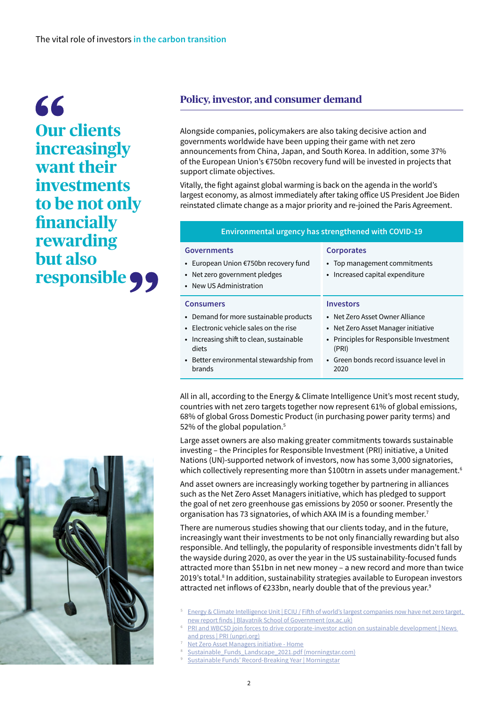66 **Our clients increasingly want their investments to be not only financially rewarding but also responsible** 

## **Policy, investor, and consumer demand**

Alongside companies, policymakers are also taking decisive action and governments worldwide have been upping their game with net zero announcements from China, Japan, and South Korea. In addition, some 37% of the European Union's €750bn recovery fund will be invested in projects that support climate objectives.

Vitally, the fight against global warming is back on the agenda in the world's largest economy, as almost immediately after taking office US President Joe Biden reinstated climate change as a major priority and re-joined the Paris Agreement.

### **Environmental urgency has strengthened with COVID-19**

### **Governments**

- **•** European Union €750bn recovery fund
- **•** Net zero government pledges
- **•** New US Administration

### **Consumers**

- **•** Demand for more sustainable products
- **•** Electronic vehicle sales on the rise
- **•** Increasing shift to clean, sustainable diets
- **•** Better environmental stewardship from brands

### **Corporates**

- **•** Top management commitments
- **•** Increased capital expenditure

### **Investors**

- **•** Net Zero Asset Owner Alliance
- **•** Net Zero Asset Manager initiative
- **•** Principles for Responsible Investment (PRI)
- **•** Green bonds record issuance level in 2020

All in all, according to the Energy & Climate Intelligence Unit's most recent study, countries with net zero targets together now represent 61% of global emissions, 68% of global Gross Domestic Product (in purchasing power parity terms) and 52% of the global population.<sup>5</sup>

Large asset owners are also making greater commitments towards sustainable investing – the Principles for Responsible Investment (PRI) initiative, a United Nations (UN)-supported network of investors, now has some 3,000 signatories, which collectively representing more than \$100trn in assets under management. $^{\rm 6}$ 

And asset owners are increasingly working together by partnering in alliances such as the Net Zero Asset Managers initiative, which has pledged to support the goal of net zero greenhouse gas emissions by 2050 or sooner. Presently the organisation has 73 signatories, of which AXA IM is a founding member.<sup>7</sup>

There are numerous studies showing that our clients today, and in the future, increasingly want their investments to be not only financially rewarding but also responsible. And tellingly, the popularity of responsible investments didn't fall by the wayside during 2020, as over the year in the US sustainability-focused funds attracted more than \$51bn in net new money – a new record and more than twice 2019's total.<sup>8</sup> In addition, sustainability strategies available to European investors attracted net inflows of €233bn, nearly double that of the previous year.<sup>9</sup>

- <sup>5</sup> [Energy & Climate Intelligence Unit | ECIU /](https://eciu.net/) Fifth of world's largest companies now have net zero target, [new report finds | Blavatnik School of Government \(ox.ac.uk\)](https://www.bsg.ox.ac.uk/news/fifth-worlds-largest-companies-now-have-net-zero-target-new-report-finds)
- PRI and WBCSD join forces to drive corporate-investor action on sustainable development | News [and press | PRI \(unpri.org\)](https://www.unpri.org/news-and-press/pri-and-wbcsd-join-forces-to-drive-corporate-investor-action-on-sustainable-development/6334.article)
- [Net Zero Asset Managers initiative Home](https://www.netzeroassetmanagers.org/)
- [Sustainable\\_Funds\\_Landscape\\_2021.pdf \(morningstar.com\)](https://www.morningstar.com/content/dam/marketing/shared/pdfs/Research/Sustainable_Funds_Landscape_2021.pdf?utm_source=eloqua&utm_medium=email&utm_campaign=&utm_content=27482)
- [Sustainable Funds' Record-Breaking Year | Morningstar](https://www.morningstar.co.uk/uk/news/209411/sustainable-funds-record-breaking-year.aspx#:~:text=During%202020%2C%20sustainable%20open%2Dend,of%20overall%20European%20funds%20flows.)

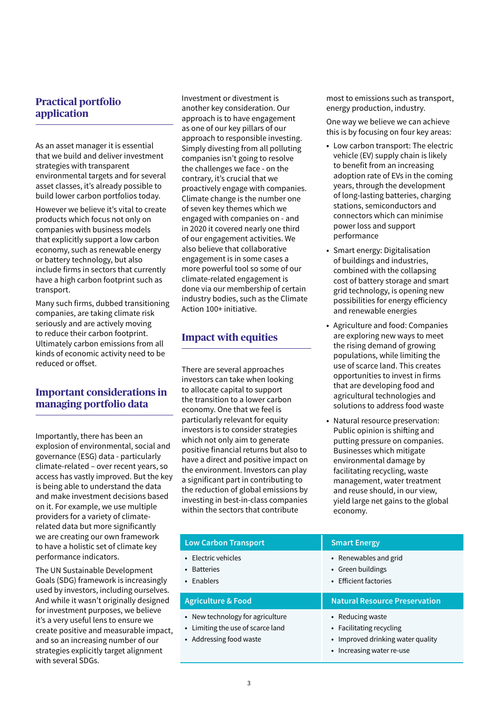# **Practical portfolio application**

As an asset manager it is essential that we build and deliver investment strategies with transparent environmental targets and for several asset classes, it's already possible to build lower carbon portfolios today.

However we believe it's vital to create products which focus not only on companies with business models that explicitly support a low carbon economy, such as renewable energy or battery technology, but also include firms in sectors that currently have a high carbon footprint such as transport.

Many such firms, dubbed transitioning companies, are taking climate risk seriously and are actively moving to reduce their carbon footprint. Ultimately carbon emissions from all kinds of economic activity need to be reduced or offset.

# **Important considerations in managing portfolio data**

Importantly, there has been an explosion of environmental, social and governance (ESG) data - particularly climate-related – over recent years, so access has vastly improved. But the key is being able to understand the data and make investment decisions based on it. For example, we use multiple providers for a variety of climaterelated data but more significantly we are creating our own framework to have a holistic set of climate key performance indicators.

The UN Sustainable Development Goals (SDG) framework is increasingly used by investors, including ourselves. And while it wasn't originally designed for investment purposes, we believe it's a very useful lens to ensure we create positive and measurable impact, and so an increasing number of our strategies explicitly target alignment with several SDGs.

Investment or divestment is another key consideration. Our approach is to have engagement as one of our key pillars of our approach to responsible investing. Simply divesting from all polluting companies isn't going to resolve the challenges we face - on the contrary, it's crucial that we proactively engage with companies. Climate change is the number one of seven key themes which we engaged with companies on - and in 2020 it covered nearly one third of our engagement activities. We also believe that collaborative engagement is in some cases a more powerful tool so some of our climate-related engagement is done via our membership of certain industry bodies, such as the Climate Action 100+ initiative.

# **Impact with equities**

There are several approaches investors can take when looking to allocate capital to support the transition to a lower carbon economy. One that we feel is particularly relevant for equity investors is to consider strategies which not only aim to generate positive financial returns but also to have a direct and positive impact on the environment. Investors can play a significant part in contributing to the reduction of global emissions by investing in best-in-class companies within the sectors that contribute

most to emissions such as transport, energy production, industry.

One way we believe we can achieve this is by focusing on four key areas:

- **•** Low carbon transport: The electric vehicle (EV) supply chain is likely to benefit from an increasing adoption rate of EVs in the coming years, through the development of long-lasting batteries, charging stations, semiconductors and connectors which can minimise power loss and support performance
- **•** Smart energy: Digitalisation of buildings and industries, combined with the collapsing cost of battery storage and smart grid technology, is opening new possibilities for energy efficiency and renewable energies
- **•** Agriculture and food: Companies are exploring new ways to meet the rising demand of growing populations, while limiting the use of scarce land. This creates opportunities to invest in firms that are developing food and agricultural technologies and solutions to address food waste
- **•** Natural resource preservation: Public opinion is shifting and putting pressure on companies. Businesses which mitigate environmental damage by facilitating recycling, waste management, water treatment and reuse should, in our view, yield large net gains to the global economy.

| <b>Low Carbon Transport</b>                      | <b>Smart Energy</b>                                                 |
|--------------------------------------------------|---------------------------------------------------------------------|
| • Electric vehicles<br>• Batteries<br>• Enablers | • Renewables and grid<br>• Green buildings<br>• Efficient factories |
|                                                  |                                                                     |
| <b>Agriculture &amp; Food</b>                    | <b>Natural Resource Preservation</b>                                |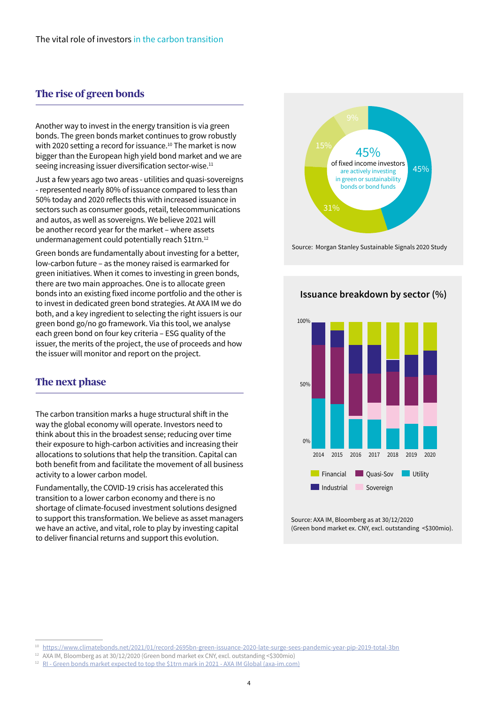## **The rise of green bonds**

Another way to invest in the energy transition is via green bonds. The green bonds market continues to grow robustly with 2020 setting a record for issuance.<sup>10</sup> The market is now bigger than the European high yield bond market and we are seeing increasing issuer diversification sector-wise.<sup>11</sup>

Just a few years ago two areas - utilities and quasi-sovereigns - represented nearly 80% of issuance compared to less than 50% today and 2020 reflects this with increased issuance in sectors such as consumer goods, retail, telecommunications and autos, as well as sovereigns. We believe 2021 will be another record year for the market – where assets undermanagement could potentially reach \$1trn.<sup>12</sup>

Green bonds are fundamentally about investing for a better, low-carbon future – as the money raised is earmarked for green initiatives. When it comes to investing in green bonds, there are two main approaches. One is to allocate green bonds into an existing fixed income portfolio and the other is to invest in dedicated green bond strategies. At AXA IM we do both, and a key ingredient to selecting the right issuers is our green bond go/no go framework. Via this tool, we analyse each green bond on four key criteria – ESG quality of the issuer, the merits of the project, the use of proceeds and how the issuer will monitor and report on the project.

### **The next phase**

The carbon transition marks a huge structural shift in the way the global economy will operate. Investors need to think about this in the broadest sense; reducing over time their exposure to high-carbon activities and increasing their allocations to solutions that help the transition. Capital can both benefit from and facilitate the movement of all business activity to a lower carbon model.

Fundamentally, the COVID-19 crisis has accelerated this transition to a lower carbon economy and there is no shortage of climate-focused investment solutions designed to support this transformation. We believe as asset managers we have an active, and vital, role to play by investing capital to deliver financial returns and support this evolution.



Source: Morgan Stanley Sustainable Signals 2020 Study

### **Issuance breakdown by sector (%)**



Source: AXA IM, Bloomberg as at 30/12/2020 (Green bond market ex. CNY, excl. outstanding <\$300mio).

<sup>10</sup> <https://www.climatebonds.net/2021/01/record-2695bn-green-issuance-2020-late-surge-sees-pandemic-year-pip-2019-total-3bn>

<sup>12</sup> AXA IM, Bloomberg as at 30/12/2020 (Green bond market ex CNY, excl. outstanding <\$300mio)

<sup>&</sup>lt;sup>12</sup> [RI - Green bonds market expected to top the \\$1trn mark in 2021 - AXA IM Global \(axa-im.com\)](https://www.axa-im.com/content/-/asset_publisher/alpeXKk1gk2N/content/ri-green-bonds-market-expected-to-top-the-1trn-mark-in-2021/23818)